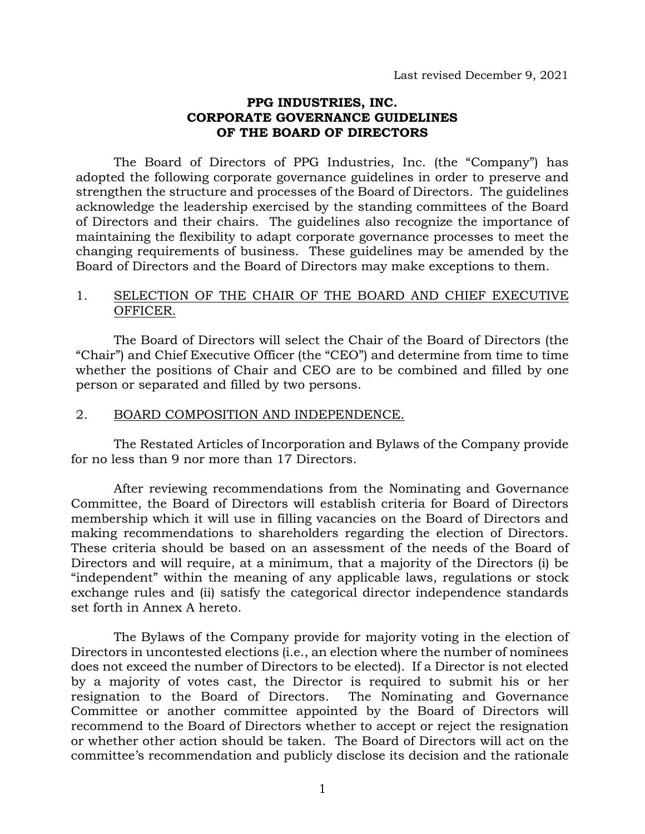#### **PPG INDUSTRIES, INC. CORPORATE GOVERNANCE GUIDELINES OF THE BOARD OF DIRECTORS**

The Board of Directors of PPG Industries, Inc. (the "Company") has adopted the following corporate governance guidelines in order to preserve and strengthen the structure and processes of the Board of Directors. The guidelines acknowledge the leadership exercised by the standing committees of the Board of Directors and their chairs. The guidelines also recognize the importance of maintaining the flexibility to adapt corporate governance processes to meet the changing requirements of business. These guidelines may be amended by the Board of Directors and the Board of Directors may make exceptions to them.

### 1. SELECTION OF THE CHAIR OF THE BOARD AND CHIEF EXECUTIVE OFFICER.

The Board of Directors will select the Chair of the Board of Directors (the "Chair") and Chief Executive Officer (the "CEO") and determine from time to time whether the positions of Chair and CEO are to be combined and filled by one person or separated and filled by two persons.

### 2. BOARD COMPOSITION AND INDEPENDENCE.

The Restated Articles of Incorporation and Bylaws of the Company provide for no less than 9 nor more than 17 Directors.

After reviewing recommendations from the Nominating and Governance Committee, the Board of Directors will establish criteria for Board of Directors membership which it will use in filling vacancies on the Board of Directors and making recommendations to shareholders regarding the election of Directors. These criteria should be based on an assessment of the needs of the Board of Directors and will require, at a minimum, that a majority of the Directors (i) be "independent" within the meaning of any applicable laws, regulations or stock exchange rules and (ii) satisfy the categorical director independence standards set forth in Annex A hereto.

The Bylaws of the Company provide for majority voting in the election of Directors in uncontested elections (i.e., an election where the number of nominees does not exceed the number of Directors to be elected). If a Director is not elected by a majority of votes cast, the Director is required to submit his or her resignation to the Board of Directors. The Nominating and Governance Committee or another committee appointed by the Board of Directors will recommend to the Board of Directors whether to accept or reject the resignation or whether other action should be taken. The Board of Directors will act on the committee's recommendation and publicly disclose its decision and the rationale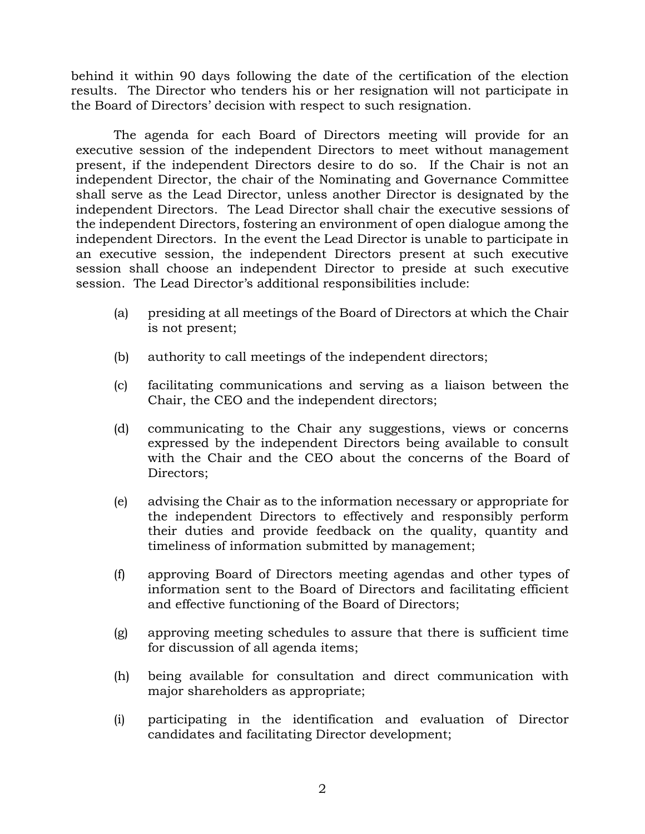behind it within 90 days following the date of the certification of the election results. The Director who tenders his or her resignation will not participate in the Board of Directors' decision with respect to such resignation.

The agenda for each Board of Directors meeting will provide for an executive session of the independent Directors to meet without management present, if the independent Directors desire to do so. If the Chair is not an independent Director, the chair of the Nominating and Governance Committee shall serve as the Lead Director, unless another Director is designated by the independent Directors. The Lead Director shall chair the executive sessions of the independent Directors, fostering an environment of open dialogue among the independent Directors. In the event the Lead Director is unable to participate in an executive session, the independent Directors present at such executive session shall choose an independent Director to preside at such executive session. The Lead Director's additional responsibilities include:

- (a) presiding at all meetings of the Board of Directors at which the Chair is not present;
- (b) authority to call meetings of the independent directors;
- (c) facilitating communications and serving as a liaison between the Chair, the CEO and the independent directors;
- (d) communicating to the Chair any suggestions, views or concerns expressed by the independent Directors being available to consult with the Chair and the CEO about the concerns of the Board of Directors;
- (e) advising the Chair as to the information necessary or appropriate for the independent Directors to effectively and responsibly perform their duties and provide feedback on the quality, quantity and timeliness of information submitted by management;
- (f) approving Board of Directors meeting agendas and other types of information sent to the Board of Directors and facilitating efficient and effective functioning of the Board of Directors;
- (g) approving meeting schedules to assure that there is sufficient time for discussion of all agenda items;
- (h) being available for consultation and direct communication with major shareholders as appropriate;
- (i) participating in the identification and evaluation of Director candidates and facilitating Director development;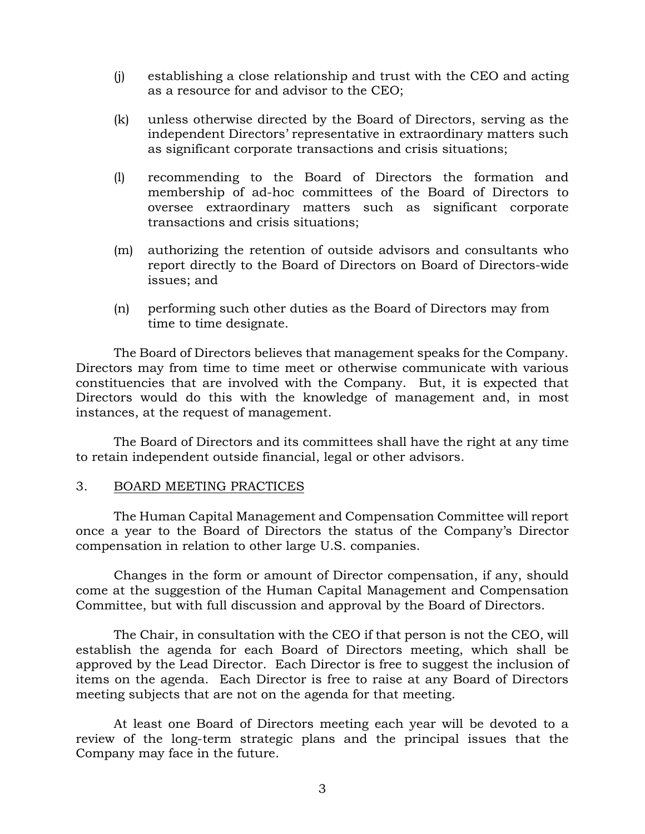- (j) establishing a close relationship and trust with the CEO and acting as a resource for and advisor to the CEO;
- (k) unless otherwise directed by the Board of Directors, serving as the independent Directors' representative in extraordinary matters such as significant corporate transactions and crisis situations;
- (l) recommending to the Board of Directors the formation and membership of ad-hoc committees of the Board of Directors to oversee extraordinary matters such as significant corporate transactions and crisis situations;
- (m) authorizing the retention of outside advisors and consultants who report directly to the Board of Directors on Board of Directors-wide issues; and
- (n) performing such other duties as the Board of Directors may from time to time designate.

The Board of Directors believes that management speaks for the Company. Directors may from time to time meet or otherwise communicate with various constituencies that are involved with the Company. But, it is expected that Directors would do this with the knowledge of management and, in most instances, at the request of management.

The Board of Directors and its committees shall have the right at any time to retain independent outside financial, legal or other advisors.

# 3. BOARD MEETING PRACTICES

The Human Capital Management and Compensation Committee will report once a year to the Board of Directors the status of the Company's Director compensation in relation to other large U.S. companies.

Changes in the form or amount of Director compensation, if any, should come at the suggestion of the Human Capital Management and Compensation Committee, but with full discussion and approval by the Board of Directors.

The Chair, in consultation with the CEO if that person is not the CEO, will establish the agenda for each Board of Directors meeting, which shall be approved by the Lead Director. Each Director is free to suggest the inclusion of items on the agenda. Each Director is free to raise at any Board of Directors meeting subjects that are not on the agenda for that meeting.

At least one Board of Directors meeting each year will be devoted to a review of the long-term strategic plans and the principal issues that the Company may face in the future.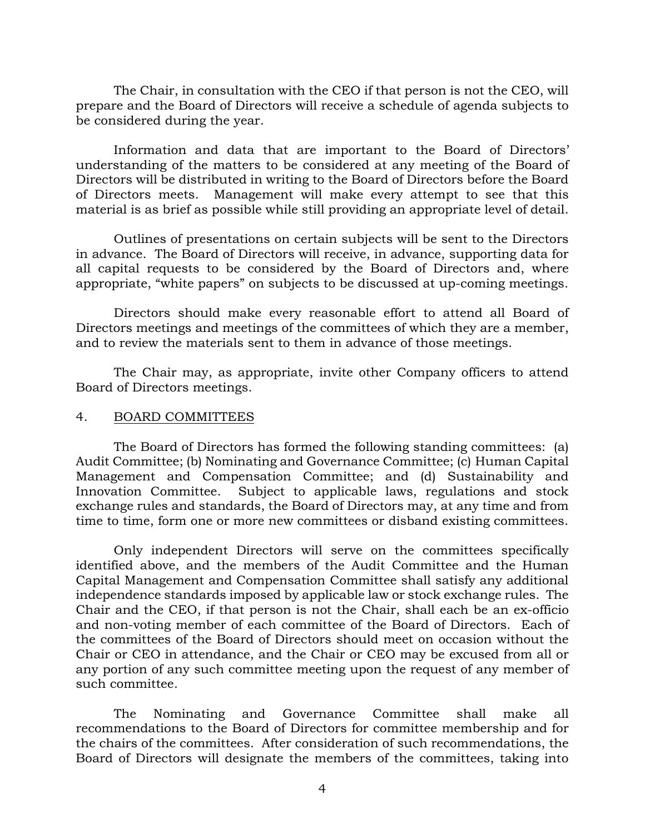The Chair, in consultation with the CEO if that person is not the CEO, will prepare and the Board of Directors will receive a schedule of agenda subjects to be considered during the year.

Information and data that are important to the Board of Directors' understanding of the matters to be considered at any meeting of the Board of Directors will be distributed in writing to the Board of Directors before the Board of Directors meets. Management will make every attempt to see that this material is as brief as possible while still providing an appropriate level of detail.

Outlines of presentations on certain subjects will be sent to the Directors in advance. The Board of Directors will receive, in advance, supporting data for all capital requests to be considered by the Board of Directors and, where appropriate, "white papers" on subjects to be discussed at up-coming meetings.

Directors should make every reasonable effort to attend all Board of Directors meetings and meetings of the committees of which they are a member, and to review the materials sent to them in advance of those meetings.

The Chair may, as appropriate, invite other Company officers to attend Board of Directors meetings.

### 4. BOARD COMMITTEES

The Board of Directors has formed the following standing committees: (a) Audit Committee; (b) Nominating and Governance Committee; (c) Human Capital Management and Compensation Committee; and (d) Sustainability and Innovation Committee. Subject to applicable laws, regulations and stock exchange rules and standards, the Board of Directors may, at any time and from time to time, form one or more new committees or disband existing committees.

Only independent Directors will serve on the committees specifically identified above, and the members of the Audit Committee and the Human Capital Management and Compensation Committee shall satisfy any additional independence standards imposed by applicable law or stock exchange rules. The Chair and the CEO, if that person is not the Chair, shall each be an ex-officio and non-voting member of each committee of the Board of Directors. Each of the committees of the Board of Directors should meet on occasion without the Chair or CEO in attendance, and the Chair or CEO may be excused from all or any portion of any such committee meeting upon the request of any member of such committee.

The Nominating and Governance Committee shall make all recommendations to the Board of Directors for committee membership and for the chairs of the committees. After consideration of such recommendations, the Board of Directors will designate the members of the committees, taking into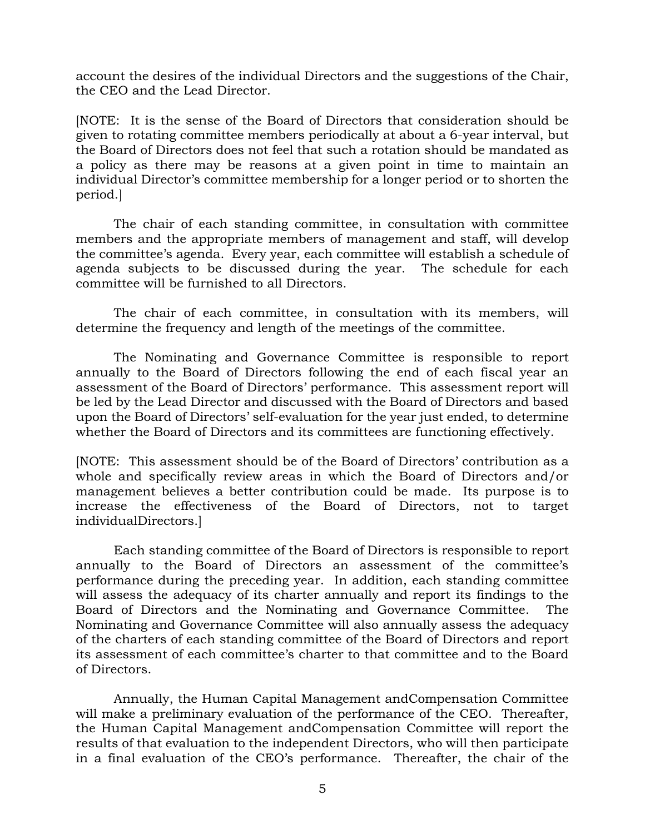account the desires of the individual Directors and the suggestions of the Chair, the CEO and the Lead Director.

[NOTE: It is the sense of the Board of Directors that consideration should be given to rotating committee members periodically at about a 6-year interval, but the Board of Directors does not feel that such a rotation should be mandated as a policy as there may be reasons at a given point in time to maintain an individual Director's committee membership for a longer period or to shorten the period.]

The chair of each standing committee, in consultation with committee members and the appropriate members of management and staff, will develop the committee's agenda. Every year, each committee will establish a schedule of agenda subjects to be discussed during the year. The schedule for each committee will be furnished to all Directors.

The chair of each committee, in consultation with its members, will determine the frequency and length of the meetings of the committee.

The Nominating and Governance Committee is responsible to report annually to the Board of Directors following the end of each fiscal year an assessment of the Board of Directors' performance. This assessment report will be led by the Lead Director and discussed with the Board of Directors and based upon the Board of Directors' self-evaluation for the year just ended, to determine whether the Board of Directors and its committees are functioning effectively.

[NOTE: This assessment should be of the Board of Directors' contribution as a whole and specifically review areas in which the Board of Directors and/or management believes a better contribution could be made. Its purpose is to increase the effectiveness of the Board of Directors, not to target individualDirectors.]

Each standing committee of the Board of Directors is responsible to report annually to the Board of Directors an assessment of the committee's performance during the preceding year. In addition, each standing committee will assess the adequacy of its charter annually and report its findings to the Board of Directors and the Nominating and Governance Committee. The Nominating and Governance Committee will also annually assess the adequacy of the charters of each standing committee of the Board of Directors and report its assessment of each committee's charter to that committee and to the Board of Directors.

Annually, the Human Capital Management andCompensation Committee will make a preliminary evaluation of the performance of the CEO. Thereafter, the Human Capital Management andCompensation Committee will report the results of that evaluation to the independent Directors, who will then participate in a final evaluation of the CEO's performance. Thereafter, the chair of the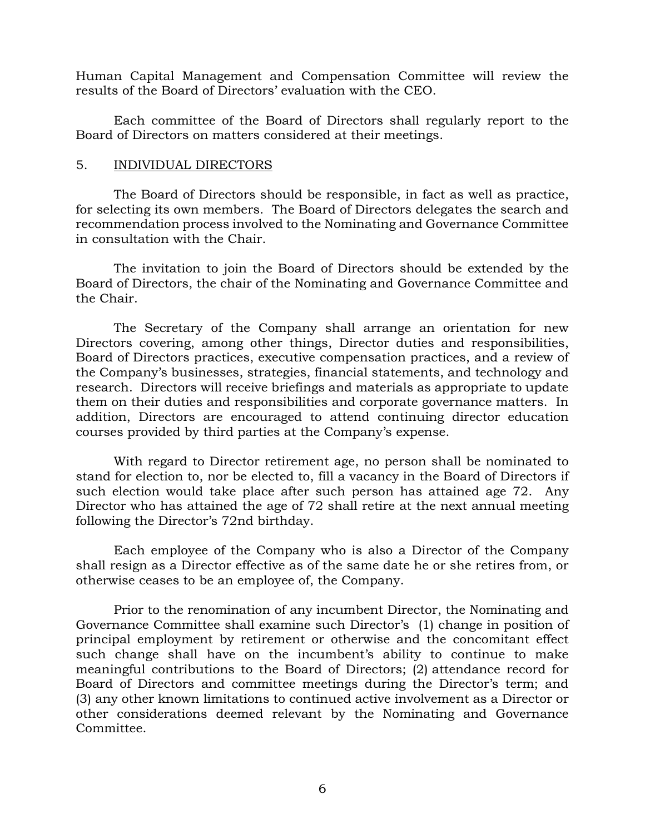Human Capital Management and Compensation Committee will review the results of the Board of Directors' evaluation with the CEO.

Each committee of the Board of Directors shall regularly report to the Board of Directors on matters considered at their meetings.

### 5. INDIVIDUAL DIRECTORS

The Board of Directors should be responsible, in fact as well as practice, for selecting its own members. The Board of Directors delegates the search and recommendation process involved to the Nominating and Governance Committee in consultation with the Chair.

The invitation to join the Board of Directors should be extended by the Board of Directors, the chair of the Nominating and Governance Committee and the Chair.

The Secretary of the Company shall arrange an orientation for new Directors covering, among other things, Director duties and responsibilities, Board of Directors practices, executive compensation practices, and a review of the Company's businesses, strategies, financial statements, and technology and research. Directors will receive briefings and materials as appropriate to update them on their duties and responsibilities and corporate governance matters. In addition, Directors are encouraged to attend continuing director education courses provided by third parties at the Company's expense.

With regard to Director retirement age, no person shall be nominated to stand for election to, nor be elected to, fill a vacancy in the Board of Directors if such election would take place after such person has attained age 72. Any Director who has attained the age of 72 shall retire at the next annual meeting following the Director's 72nd birthday.

Each employee of the Company who is also a Director of the Company shall resign as a Director effective as of the same date he or she retires from, or otherwise ceases to be an employee of, the Company.

Prior to the renomination of any incumbent Director, the Nominating and Governance Committee shall examine such Director's (1) change in position of principal employment by retirement or otherwise and the concomitant effect such change shall have on the incumbent's ability to continue to make meaningful contributions to the Board of Directors; (2) attendance record for Board of Directors and committee meetings during the Director's term; and (3) any other known limitations to continued active involvement as a Director or other considerations deemed relevant by the Nominating and Governance Committee.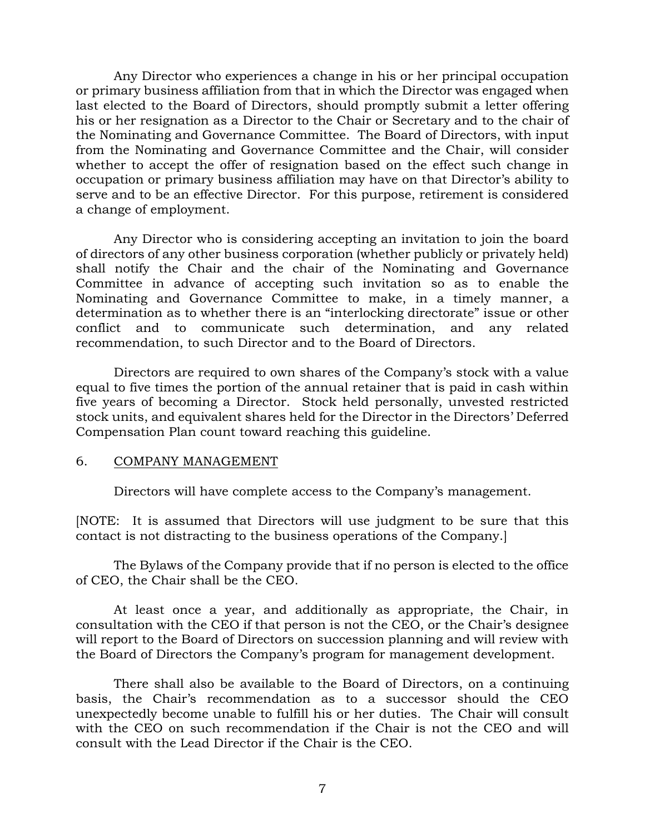Any Director who experiences a change in his or her principal occupation or primary business affiliation from that in which the Director was engaged when last elected to the Board of Directors, should promptly submit a letter offering his or her resignation as a Director to the Chair or Secretary and to the chair of the Nominating and Governance Committee. The Board of Directors, with input from the Nominating and Governance Committee and the Chair, will consider whether to accept the offer of resignation based on the effect such change in occupation or primary business affiliation may have on that Director's ability to serve and to be an effective Director. For this purpose, retirement is considered a change of employment.

Any Director who is considering accepting an invitation to join the board of directors of any other business corporation (whether publicly or privately held) shall notify the Chair and the chair of the Nominating and Governance Committee in advance of accepting such invitation so as to enable the Nominating and Governance Committee to make, in a timely manner, a determination as to whether there is an "interlocking directorate" issue or other conflict and to communicate such determination, and any related recommendation, to such Director and to the Board of Directors.

Directors are required to own shares of the Company's stock with a value equal to five times the portion of the annual retainer that is paid in cash within five years of becoming a Director. Stock held personally, unvested restricted stock units, and equivalent shares held for the Director in the Directors' Deferred Compensation Plan count toward reaching this guideline.

#### 6. COMPANY MANAGEMENT

Directors will have complete access to the Company's management.

[NOTE: It is assumed that Directors will use judgment to be sure that this contact is not distracting to the business operations of the Company.]

The Bylaws of the Company provide that if no person is elected to the office of CEO, the Chair shall be the CEO.

At least once a year, and additionally as appropriate, the Chair, in consultation with the CEO if that person is not the CEO, or the Chair's designee will report to the Board of Directors on succession planning and will review with the Board of Directors the Company's program for management development.

There shall also be available to the Board of Directors, on a continuing basis, the Chair's recommendation as to a successor should the CEO unexpectedly become unable to fulfill his or her duties. The Chair will consult with the CEO on such recommendation if the Chair is not the CEO and will consult with the Lead Director if the Chair is the CEO.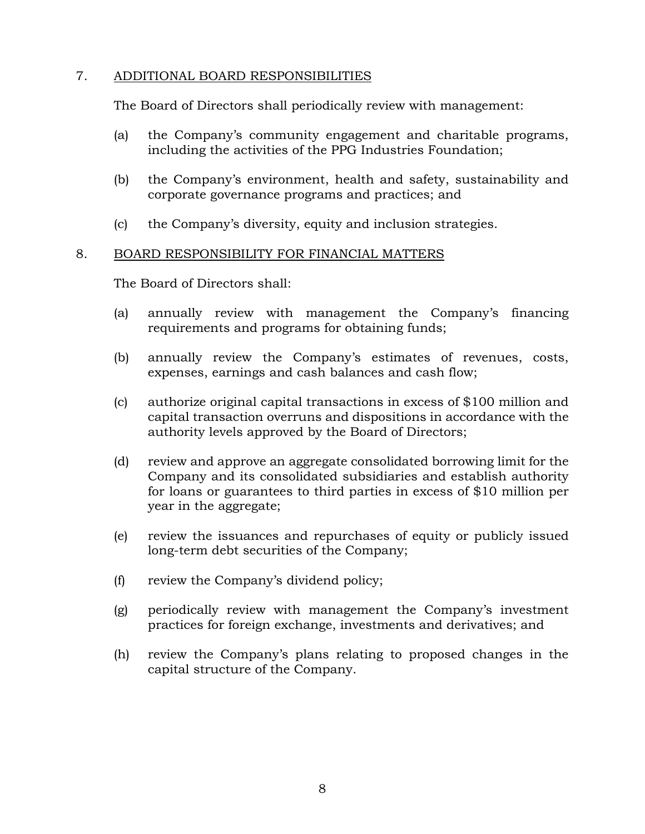# 7. ADDITIONAL BOARD RESPONSIBILITIES

The Board of Directors shall periodically review with management:

- (a) the Company's community engagement and charitable programs, including the activities of the PPG Industries Foundation;
- (b) the Company's environment, health and safety, sustainability and corporate governance programs and practices; and
- (c) the Company's diversity, equity and inclusion strategies.

# 8. BOARD RESPONSIBILITY FOR FINANCIAL MATTERS

The Board of Directors shall:

- (a) annually review with management the Company's financing requirements and programs for obtaining funds;
- (b) annually review the Company's estimates of revenues, costs, expenses, earnings and cash balances and cash flow;
- (c) authorize original capital transactions in excess of \$100 million and capital transaction overruns and dispositions in accordance with the authority levels approved by the Board of Directors;
- (d) review and approve an aggregate consolidated borrowing limit for the Company and its consolidated subsidiaries and establish authority for loans or guarantees to third parties in excess of \$10 million per year in the aggregate;
- (e) review the issuances and repurchases of equity or publicly issued long-term debt securities of the Company;
- (f) review the Company's dividend policy;
- (g) periodically review with management the Company's investment practices for foreign exchange, investments and derivatives; and
- (h) review the Company's plans relating to proposed changes in the capital structure of the Company.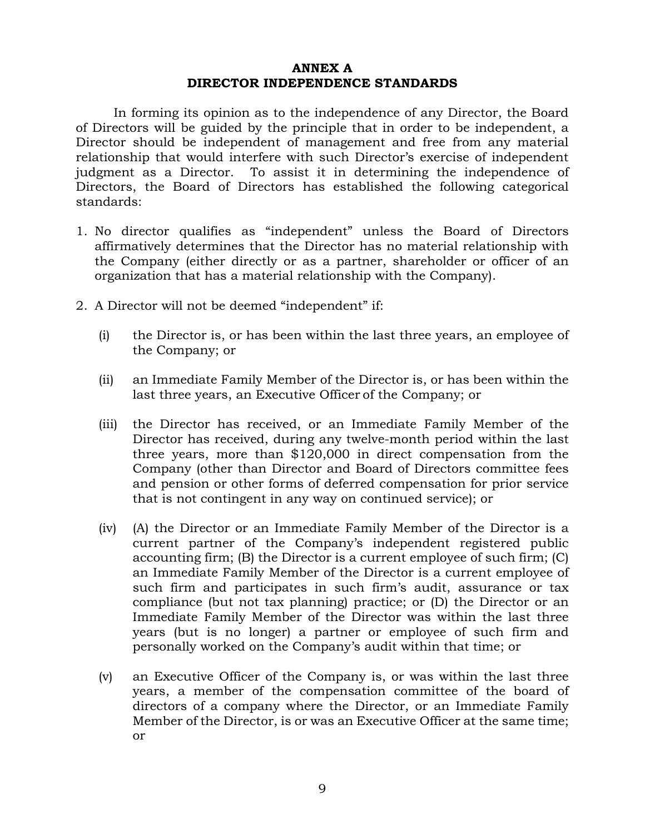#### **ANNEX A DIRECTOR INDEPENDENCE STANDARDS**

In forming its opinion as to the independence of any Director, the Board of Directors will be guided by the principle that in order to be independent, a Director should be independent of management and free from any material relationship that would interfere with such Director's exercise of independent judgment as a Director. To assist it in determining the independence of Directors, the Board of Directors has established the following categorical standards:

- 1. No director qualifies as "independent" unless the Board of Directors affirmatively determines that the Director has no material relationship with the Company (either directly or as a partner, shareholder or officer of an organization that has a material relationship with the Company).
- 2. A Director will not be deemed "independent" if:
	- (i) the Director is, or has been within the last three years, an employee of the Company; or
	- (ii) an Immediate Family Member of the Director is, or has been within the last three years, an Executive Officer of the Company; or
	- (iii) the Director has received, or an Immediate Family Member of the Director has received, during any twelve-month period within the last three years, more than \$120,000 in direct compensation from the Company (other than Director and Board of Directors committee fees and pension or other forms of deferred compensation for prior service that is not contingent in any way on continued service); or
	- (iv) (A) the Director or an Immediate Family Member of the Director is a current partner of the Company's independent registered public accounting firm; (B) the Director is a current employee of such firm; (C) an Immediate Family Member of the Director is a current employee of such firm and participates in such firm's audit, assurance or tax compliance (but not tax planning) practice; or (D) the Director or an Immediate Family Member of the Director was within the last three years (but is no longer) a partner or employee of such firm and personally worked on the Company's audit within that time; or
	- (v) an Executive Officer of the Company is, or was within the last three years, a member of the compensation committee of the board of directors of a company where the Director, or an Immediate Family Member of the Director, is or was an Executive Officer at the same time; or